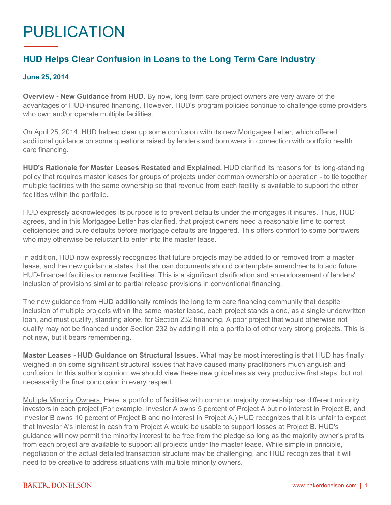## PUBLICATION

## **HUD Helps Clear Confusion in Loans to the Long Term Care Industry**

## **June 25, 2014**

**Overview - New Guidance from HUD.** By now, long term care project owners are very aware of the advantages of HUD-insured financing. However, HUD's program policies continue to challenge some providers who own and/or operate multiple facilities.

On April 25, 2014, HUD helped clear up some confusion with its new Mortgagee Letter, which offered additional guidance on some questions raised by lenders and borrowers in connection with portfolio health care financing.

**HUD's Rationale for Master Leases Restated and Explained.** HUD clarified its reasons for its long-standing policy that requires master leases for groups of projects under common ownership or operation - to tie together multiple facilities with the same ownership so that revenue from each facility is available to support the other facilities within the portfolio.

HUD expressly acknowledges its purpose is to prevent defaults under the mortgages it insures. Thus, HUD agrees, and in this Mortgagee Letter has clarified, that project owners need a reasonable time to correct deficiencies and cure defaults before mortgage defaults are triggered. This offers comfort to some borrowers who may otherwise be reluctant to enter into the master lease.

In addition, HUD now expressly recognizes that future projects may be added to or removed from a master lease, and the new guidance states that the loan documents should contemplate amendments to add future HUD-financed facilities or remove facilities. This is a significant clarification and an endorsement of lenders' inclusion of provisions similar to partial release provisions in conventional financing.

The new guidance from HUD additionally reminds the long term care financing community that despite inclusion of multiple projects within the same master lease, each project stands alone, as a single underwritten loan, and must qualify, standing alone, for Section 232 financing. A poor project that would otherwise not qualify may not be financed under Section 232 by adding it into a portfolio of other very strong projects. This is not new, but it bears remembering.

**Master Leases - HUD Guidance on Structural Issues.** What may be most interesting is that HUD has finally weighed in on some significant structural issues that have caused many practitioners much anguish and confusion. In this author's opinion, we should view these new guidelines as very productive first steps, but not necessarily the final conclusion in every respect.

Multiple Minority Owners. Here, a portfolio of facilities with common majority ownership has different minority investors in each project (For example, Investor A owns 5 percent of Project A but no interest in Project B, and Investor B owns 10 percent of Project B and no interest in Project A.) HUD recognizes that it is unfair to expect that Investor A's interest in cash from Project A would be usable to support losses at Project B. HUD's guidance will now permit the minority interest to be free from the pledge so long as the majority owner's profits from each project are available to support all projects under the master lease. While simple in principle, negotiation of the actual detailed transaction structure may be challenging, and HUD recognizes that it will need to be creative to address situations with multiple minority owners.